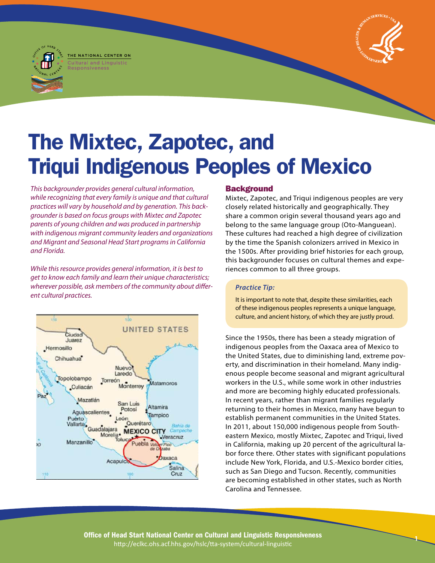# The Mixtec, Zapotec, and Triqui Indigenous Peoples of Mexico

*This backgrounder provides general cultural information, while recognizing that every family is unique and that cultural practices will vary by household and by generation. This backgrounder is based on focus groups with Mixtec and Zapotec parents of young children and was produced in partnership with indigenous migrant community leaders and organizations and Migrant and Seasonal Head Start programs in California and Florida.* 

THE NATIONAL CENTER ON **Cultural and Linquisti** 

*While this resource provides general information, it is best to get to know each family and learn their unique characteristics; wherever possible, ask members of the community about different cultural practices.* 



# **Background**

Mixtec, Zapotec, and Triqui indigenous peoples are very closely related historically and geographically. They share a common origin several thousand years ago and belong to the same language group (Oto-Manguean). These cultures had reached a high degree of civilization by the time the Spanish colonizers arrived in Mexico in the 1500s. After providing brief histories for each group, this backgrounder focuses on cultural themes and experiences common to all three groups.

# *Practice Tip:*

It is important to note that, despite these similarities, each of these indigenous peoples represents a unique language, culture, and ancient history, of which they are justly proud.

Since the 1950s, there has been a steady migration of indigenous peoples from the Oaxaca area of Mexico to the United States, due to diminishing land, extreme poverty, and discrimination in their homeland. Many indigenous people become seasonal and migrant agricultural workers in the U.S., while some work in other industries and more are becoming highly educated professionals. In recent years, rather than migrant families regularly returning to their homes in Mexico, many have begun to establish permanent communities in the United States. In 2011, about 150,000 indigenous people from Southeastern Mexico, mostly Mixtec, Zapotec and Triqui, lived in California, making up 20 percent of the agricultural labor force there. Other states with significant populations include New York, Florida, and U.S.-Mexico border cities, such as San Diego and Tucson. Recently, communities are becoming established in other states, such as North Carolina and Tennessee.

 **<sup>1</sup>** Office of Head Start National Center on Cultural and Linguistic Responsiveness http://eclkc.ohs.acf.hhs.gov/hslc/tta-system/cultural-linguistic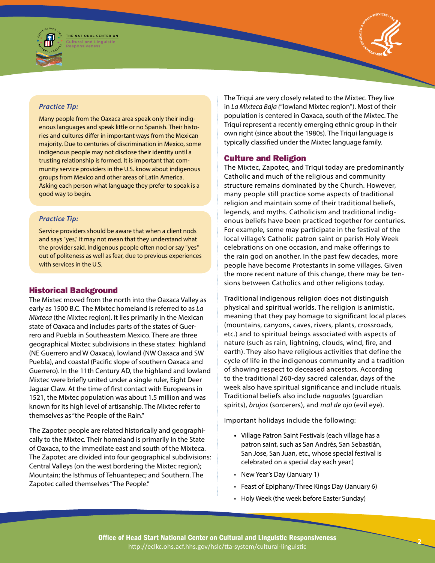





#### *Practice Tip:*

Many people from the Oaxaca area speak only their indigenous languages and speak little or no Spanish. Their histories and cultures differ in important ways from the Mexican majority. Due to centuries of discrimination in Mexico, some indigenous people may not disclose their identity until a trusting relationship is formed. It is important that community service providers in the U.S. know about indigenous groups from Mexico and other areas of Latin America. Asking each person what language they prefer to speak is a good way to begin.

#### *Practice Tip:*

Service providers should be aware that when a client nods and says "yes," it may not mean that they understand what the provider said. Indigenous people often nod or say "yes" out of politeness as well as fear, due to previous experiences with services in the U.S.

# Historical Background

The Mixtec moved from the north into the Oaxaca Valley as early as 1500 B.C. The Mixtec homeland is referred to as *La Mixteca* (the Mixtec region). It lies primarily in the Mexican state of Oaxaca and includes parts of the states of Guerrero and Puebla in Southeastern Mexico. There are three geographical Mixtec subdivisions in these states: highland (NE Guerrero and W Oaxaca), lowland (NW Oaxaca and SW Puebla), and coastal (Pacific slope of southern Oaxaca and Guerrero). In the 11th Century AD, the highland and lowland Mixtec were briefly united under a single ruler, Eight Deer Jaguar Claw. At the time of first contact with Europeans in 1521, the Mixtec population was about 1.5 million and was known for its high level of artisanship. The Mixtec refer to themselves as "the People of the Rain."

The Zapotec people are related historically and geographically to the Mixtec. Their homeland is primarily in the State of Oaxaca, to the immediate east and south of the Mixteca. The Zapotec are divided into four geographical subdivisions: Central Valleys (on the west bordering the Mixtec region); Mountain; the Isthmus of Tehuantepec; and Southern. The Zapotec called themselves "The People."

The Triqui are very closely related to the Mixtec. They live in *La Mixteca Baja (*"lowland Mixtec region"). Most of their population is centered in Oaxaca, south of the Mixtec. The Triqui represent a recently emerging ethnic group in their own right (since about the 1980s). The Triqui language is typically classified under the Mixtec language family.

# Culture and Religion

 sions between Catholics and other religions today. The Mixtec, Zapotec, and Triqui today are predominantly Catholic and much of the religious and community structure remains dominated by the Church. However, many people still practice some aspects of traditional religion and maintain some of their traditional beliefs, legends, and myths. Catholicism and traditional indigenous beliefs have been practiced together for centuries. For example, some may participate in the festival of the local village's Catholic patron saint or parish Holy Week celebrations on one occasion, and make offerings to the rain god on another. In the past few decades, more people have become Protestants in some villages. Given the more recent nature of this change, there may be ten-

Traditional indigenous religion does not distinguish physical and spiritual worlds. The religion is animistic, meaning that they pay homage to significant local places (mountains, canyons, caves, rivers, plants, crossroads, etc.) and to spiritual beings associated with aspects of nature (such as rain, lightning, clouds, wind, fire, and earth). They also have religious activities that define the cycle of life in the indigenous community and a tradition of showing respect to deceased ancestors. According to the traditional 260-day sacred calendar, days of the week also have spiritual significance and include rituals. Traditional beliefs also include *naguales* (guardian spirits), *brujos* (sorcerers), and *mal de ojo* (evil eye).

Important holidays include the following:

- **•**  Village Patron Saint Festivals (each village has a patron saint, such as San Andrés, San Sebastián, San Jose, San Juan, etc., whose special festival is celebrated on a special day each year.)
- New Year's Day (January 1)
- Feast of Epiphany/Three Kings Day (January 6)

• Holy Week (the week before Easter Sunday)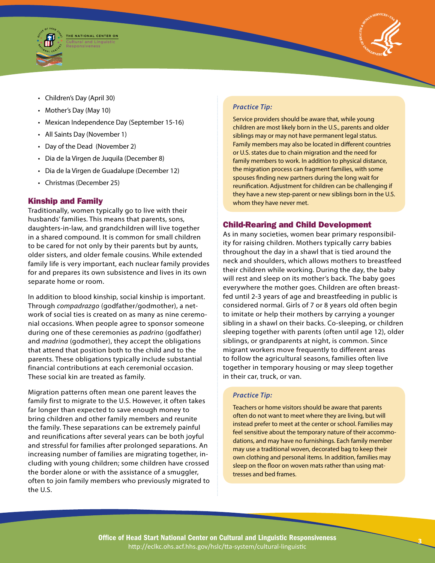



- • Children's Day (April 30)
- Mother's Day (May 10)
- Mexican Independence Day (September 15-16)
- All Saints Day (November 1)
- Day of the Dead (November 2)
- Dia de la Virgen de Juquila (December 8)
- Dia de la Virgen de Guadalupe (December 12)
- • Christmas (December 25)

# Kinship and Family

Traditionally, women typically go to live with their husbands' families. This means that parents, sons, daughters-in-law, and grandchildren will live together in a shared compound. It is common for small children to be cared for not only by their parents but by aunts, older sisters, and older female cousins. While extended family life is very important, each nuclear family provides for and prepares its own subsistence and lives in its own separate home or room.

In addition to blood kinship, social kinship is important. Through *compadrazgo* (godfather/godmother), a network of social ties is created on as many as nine ceremonial occasions. When people agree to sponsor someone during one of these ceremonies as *padrino* (godfather) and *madrina* (godmother), they accept the obligations that attend that position both to the child and to the parents. These obligations typically include substantial financial contributions at each ceremonial occasion. These social kin are treated as family.

Migration patterns often mean one parent leaves the family first to migrate to the U.S. However, it often takes far longer than expected to save enough money to bring children and other family members and reunite the family. These separations can be extremely painful and reunifications after several years can be both joyful and stressful for families after prolonged separations. An increasing number of families are migrating together, including with young children; some children have crossed the border alone or with the assistance of a smuggler, often to join family members who previously migrated to the U.S.

# *Practice Tip:*

Service providers should be aware that, while young children are most likely born in the U.S., parents and older siblings may or may not have permanent legal status. Family members may also be located in different countries or U.S. states due to chain migration and the need for family members to work. In addition to physical distance, the migration process can fragment families, with some spouses finding new partners during the long wait for reunification. Adjustment for children can be challenging if they have a new step-parent or new siblings born in the U.S. whom they have never met.

# Child-Rearing and Child Development

As in many societies, women bear primary responsibility for raising children. Mothers typically carry babies throughout the day in a shawl that is tied around the neck and shoulders, which allows mothers to breastfeed their children while working. During the day, the baby will rest and sleep on its mother's back. The baby goes everywhere the mother goes. Children are often breastfed until 2-3 years of age and breastfeeding in public is considered normal. Girls of 7 or 8 years old often begin to imitate or help their mothers by carrying a younger sibling in a shawl on their backs. Co-sleeping, or children sleeping together with parents (often until age 12), older siblings, or grandparents at night, is common. Since migrant workers move frequently to different areas to follow the agricultural seasons, families often live together in temporary housing or may sleep together in their car, truck, or van.

#### *Practice Tip:*

Teachers or home visitors should be aware that parents often do not want to meet where they are living, but will instead prefer to meet at the center or school. Families may feel sensitive about the temporary nature of their accommodations, and may have no furnishings. Each family member may use a traditional woven, decorated bag to keep their own clothing and personal items. In addition, families may sleep on the floor on woven mats rather than using mattresses and bed frames.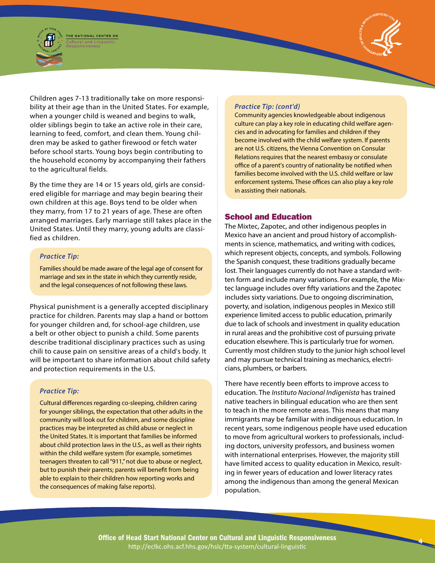



Children ages 7-13 traditionally take on more responsibility at their age than in the United States. For example, when a younger child is weaned and begins to walk, older siblings begin to take an active role in their care, learning to feed, comfort, and clean them. Young children may be asked to gather firewood or fetch water before school starts. Young boys begin contributing to the household economy by accompanying their fathers to the agricultural fields.

By the time they are 14 or 15 years old, girls are considered eligible for marriage and may begin bearing their own children at this age. Boys tend to be older when they marry, from 17 to 21 years of age. These are often arranged marriages. Early marriage still takes place in the United States. Until they marry, young adults are classified as children.

#### *Practice Tip:*

Families should be made aware of the legal age of consent for marriage and sex in the state in which they currently reside, and the legal consequences of not following these laws.

Physical punishment is a generally accepted disciplinary practice for children. Parents may slap a hand or bottom for younger children and, for school-age children, use a belt or other object to punish a child. Some parents describe traditional disciplinary practices such as using chili to cause pain on sensitive areas of a child's body. It will be important to share information about child safety and protection requirements in the U.S.

#### *Practice Tip:*

Cultural differences regarding co-sleeping, children caring for younger siblings, the expectation that other adults in the community will look out for children, and some discipline practices may be interpreted as child abuse or neglect in the United States. It is important that families be informed about child protection laws in the U.S., as well as their rights within the child welfare system (for example, sometimes teenagers threaten to call "911," not due to abuse or neglect, but to punish their parents; parents will benefit from being able to explain to their children how reporting works and the consequences of making false reports).

#### *Practice Tip: (cont'd)*

Community agencies knowledgeable about indigenous culture can play a key role in educating child welfare agencies and in advocating for families and children if they become involved with the child welfare system. If parents are not U.S. citizens, the Vienna Convention on Consular Relations requires that the nearest embassy or consulate office of a parent's country of nationality be notified when families become involved with the U.S. child welfare or law enforcement systems. These offices can also play a key role in assisting their nationals.

# School and Education

The Mixtec, Zapotec, and other indigenous peoples in Mexico have an ancient and proud history of accomplishments in science, mathematics, and writing with codices, which represent objects, concepts, and symbols. Following the Spanish conquest, these traditions gradually became lost. Their languages currently do not have a standard written form and include many variations. For example, the Mixtec language includes over fifty variations and the Zapotec includes sixty variations. Due to ongoing discrimination, poverty, and isolation, indigenous peoples in Mexico still experience limited access to public education, primarily due to lack of schools and investment in quality education in rural areas and the prohibitive cost of pursuing private education elsewhere. This is particularly true for women. Currently most children study to the junior high school level and may pursue technical training as mechanics, electricians, plumbers, or barbers.

There have recently been efforts to improve access to education. The *Instituto Nacional Indigenista* has trained native teachers in bilingual education who are then sent to teach in the more remote areas. This means that many immigrants may be familiar with indigenous education. In recent years, some indigenous people have used education to move from agricultural workers to professionals, including doctors, university professors, and business women with international enterprises. However, the majority still have limited access to quality education in Mexico, resulting in fewer years of education and lower literacy rates among the indigenous than among the general Mexican population.

**<sup>4</sup>**Office of Head Start National Center on Cultural and Linguistic Responsiveness http://eclkc.ohs.acf.hhs.gov/hslc/tta-system/cultural-linguistic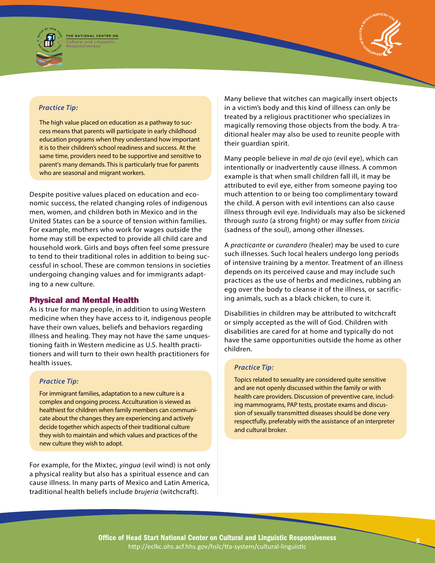



#### *Practice Tip:*

The high value placed on education as a pathway to success means that parents will participate in early childhood education programs when they understand how important it is to their children's school readiness and success. At the same time, providers need to be supportive and sensitive to parent's many demands. This is particularly true for parents who are seasonal and migrant workers.

Despite positive values placed on education and economic success, the related changing roles of indigenous men, women, and children both in Mexico and in the United States can be a source of tension within families. For example, mothers who work for wages outside the home may still be expected to provide all child care and household work. Girls and boys often feel some pressure to tend to their traditional roles in addition to being successful in school. These are common tensions in societies undergoing changing values and for immigrants adapting to a new culture.

#### Physical and Mental Health

As is true for many people, in addition to using Western medicine when they have access to it, indigenous people have their own values, beliefs and behaviors regarding illness and healing. They may not have the same unquestioning faith in Western medicine as U.S. health practitioners and will turn to their own health practitioners for health issues.

# *Practice Tip:*

For immigrant families, adaptation to a new culture is a complex and ongoing process. Acculturation is viewed as healthiest for children when family members can communicate about the changes they are experiencing and actively decide together which aspects of their traditional culture they wish to maintain and which values and practices of the new culture they wish to adopt.

For example, for the Mixtec, *yingua* (evil wind) is not only a physical reality but also has a spiritual essence and can cause illness. In many parts of Mexico and Latin America, traditional health beliefs include *brujeria* (witchcraft).

Many believe that witches can magically insert objects in a victim's body and this kind of illness can only be treated by a religious practitioner who specializes in magically removing those objects from the body. A traditional healer may also be used to reunite people with their guardian spirit.

Many people believe in *mal de ojo* (evil eye), which can intentionally or inadvertently cause illness. A common example is that when small children fall ill, it may be attributed to evil eye, either from someone paying too much attention to or being too complimentary toward the child. A person with evil intentions can also cause illness through evil eye. Individuals may also be sickened through *susto* (a strong fright) or may suffer from *tiricia*  (sadness of the soul), among other illnesses.

A *practicante* or *curandero* (healer) may be used to cure such illnesses. Such local healers undergo long periods of intensive training by a mentor. Treatment of an illness depends on its perceived cause and may include such practices as the use of herbs and medicines, rubbing an egg over the body to cleanse it of the illness, or sacrificing animals, such as a black chicken, to cure it.

Disabilities in children may be attributed to witchcraft or simply accepted as the will of God. Children with disabilities are cared for at home and typically do not have the same opportunities outside the home as other children.

#### *Practice Tip:*

Topics related to sexuality are considered quite sensitive and are not openly discussed within the family or with health care providers. Discussion of preventive care, including mammograms, PAP tests, prostate exams and discussion of sexually transmitted diseases should be done very respectfully, preferably with the assistance of an interpreter and cultural broker.

**<sup>5</sup>** Office of Head Start National Center on Cultural and Linguistic Responsiveness http://eclkc.ohs.acf.hhs.gov/hslc/tta-system/cultural-linguistic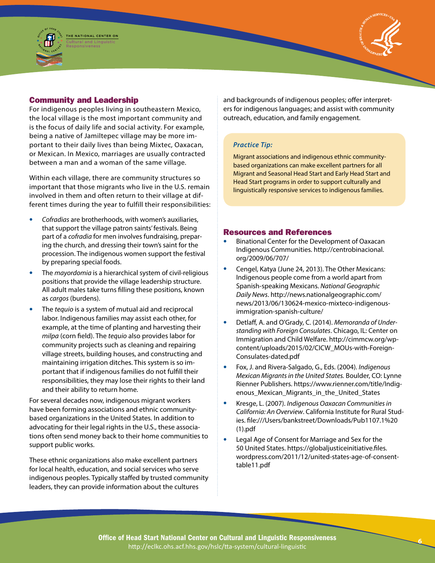

# Community and Leadership

For indigenous peoples living in southeastern Mexico, the local village is the most important community and is the focus of daily life and social activity. For example, being a native of Jamiltepec village may be more important to their daily lives than being Mixtec, Oaxacan, or Mexican. In Mexico, marriages are usually contracted between a man and a woman of the same village.

Within each village, there are community structures so important that those migrants who live in the U.S. remain involved in them and often return to their village at different times during the year to fulfill their responsibilities:

- Cofradias are brotherhoods, with women's auxiliaries, that support the village patron saints' festivals. Being part of a *cofradia* for men involves fundraising, preparing the church, and dressing their town's saint for the procession. The indigenous women support the festival by preparing special foods.
- The *mayordomia* is a hierarchical system of civil-religious positions that provide the village leadership structure. All adult males take turns filling these positions, known as *cargos* (burdens).
- The *tequio* is a system of mutual aid and reciprocal labor. Indigenous families may assist each other, for example, at the time of planting and harvesting their *milpa* (corn field). The *tequio* also provides labor for community projects such as cleaning and repairing village streets, building houses, and constructing and maintaining irrigation ditches. This system is so important that if indigenous families do not fulfill their responsibilities, they may lose their rights to their land and their ability to return home.

For several decades now, indigenous migrant workers have been forming associations and ethnic communitybased organizations in the United States. In addition to advocating for their legal rights in the U.S., these associations often send money back to their home communities to support public works.

These ethnic organizations also make excellent partners for local health, education, and social services who serve indigenous peoples. Typically staffed by trusted community leaders, they can provide information about the cultures

and backgrounds of indigenous peoples; offer interpreters for indigenous languages; and assist with community outreach, education, and family engagement.

# *Practice Tip:*

Migrant associations and indigenous ethnic communitybased organizations can make excellent partners for all Migrant and Seasonal Head Start and Early Head Start and Head Start programs in order to support culturally and linguistically responsive services to indigenous families.

# Resources and References

- Binational Center for the Development of Oaxacan Indigenous Communities. [http://centrobinacional.](http://centrobinacional.org/2009/06/707/)  [org/2009/06/707/](http://centrobinacional.org/2009/06/707/)
- Cengel, Katya (June 24, 2013). The Other Mexicans: Indigenous people come from a world apart from Spanish-speaking Mexicans. *National Geographic Daily News*. [http://news.nationalgeographic.com/](http://news.nationalgeographic.com/news/2013/06/130624-mexico-mixteco-indigenous-immigration-spanish-culture/) [news/2013/06/130624-mexico-mixteco-indigenous](http://news.nationalgeographic.com/news/2013/06/130624-mexico-mixteco-indigenous-immigration-spanish-culture/)[immigration-spanish-culture/](http://news.nationalgeographic.com/news/2013/06/130624-mexico-mixteco-indigenous-immigration-spanish-culture/)
- Detlaff, A. and O'Grady, C. (2014). *Memoranda of Understanding with Foreign Consulates*. Chicago, IL: Center on Immigration and Child Welfare. [http://cimmcw.org/wp](http://www.cimmcw.org/wp-content/uploads/2015/02/CICW_MOUs-with-Foreign-Consulates-dated.pdf)[content/uploads/2015/02/CICW\\_MOUs-with-Foreign-](http://www.cimmcw.org/wp-content/uploads/2015/02/CICW_MOUs-with-Foreign-Consulates-dated.pdf)[Consulates-dated.pdf](http://www.cimmcw.org/wp-content/uploads/2015/02/CICW_MOUs-with-Foreign-Consulates-dated.pdf)
- • Fox, J. and Rivera-Salgado, G., Eds. (2004). *Indigenous Mexican Migrants in the United States.* Boulder, CO: Lynne Rienner Publishers. [https://www.rienner.com/title/Indig](https://www.rienner.com/title/Indigenous_Mexican_Migrants_in_the_United_States)[enous\\_Mexican\\_Migrants\\_in\\_the\\_United\\_States](https://www.rienner.com/title/Indigenous_Mexican_Migrants_in_the_United_States)
- • Kresge, L. (2007). *Indigenous Oaxacan Communities in California: An Overview*. California Institute for Rural Studies. [file:///Users/bankstreet/Downloads/Pub1107.1%20](file:///Users/bankstreet/Downloads/Pub1107.1%20(1).pdf)  [\(1\).pdf](file:///Users/bankstreet/Downloads/Pub1107.1%20(1).pdf)
- Legal Age of Consent for Marriage and Sex for the 50 United States. [https://globaljusticeinitiative.files.](https://globaljusticeinitiative.files.wordpress.com/2011/12/united-states-age-of-consent-table11.pdf) [wordpress.com/2011/12/united-states-age-of-consent](https://globaljusticeinitiative.files.wordpress.com/2011/12/united-states-age-of-consent-table11.pdf)[table11.pdf](https://globaljusticeinitiative.files.wordpress.com/2011/12/united-states-age-of-consent-table11.pdf)